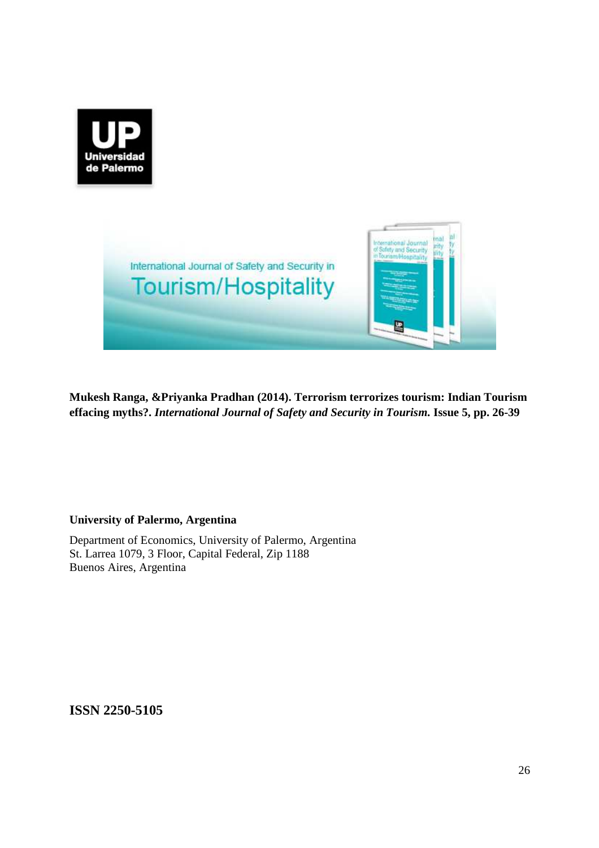



**Mukesh Ranga, &Priyanka Pradhan (2014). Terrorism terrorizes tourism: Indian Tourism effacing myths?.** *International Journal of Safety and Security in Tourism.* **Issue 5, pp. 26-39** 

## **University of Palermo, Argentina**

Department of Economics, University of Palermo, Argentina St. Larrea 1079, 3 Floor, Capital Federal, Zip 1188 Buenos Aires, Argentina

**ISSN 2250-5105**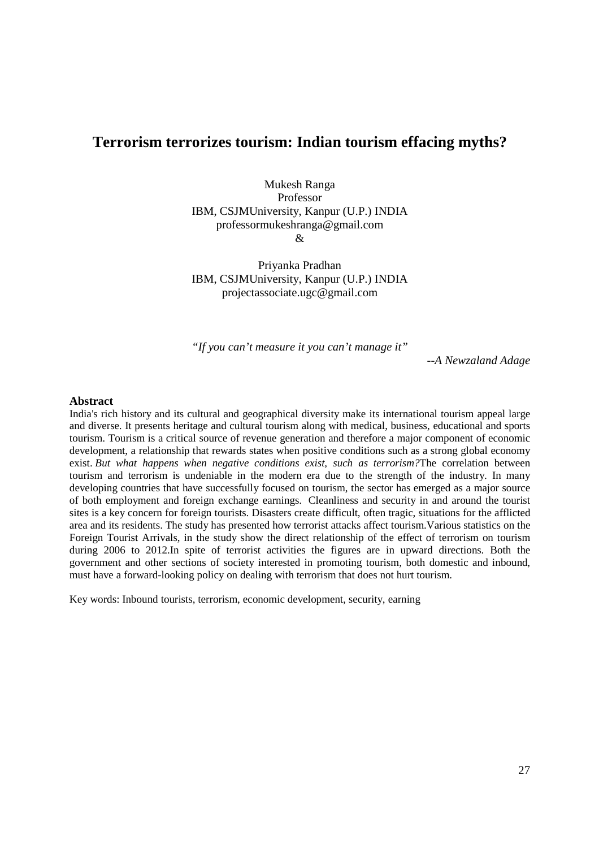## **Terrorism terrorizes tourism: Indian tourism effacing myths?**

Mukesh Ranga Professor IBM, CSJMUniversity, Kanpur (U.P.) INDIA professormukeshranga@gmail.com  $\mathcal{R}$ 

Priyanka Pradhan IBM, CSJMUniversity, Kanpur (U.P.) INDIA projectassociate.ugc@gmail.com

*"If you can't measure it you can't manage it"* 

*--A Newzaland Adage* 

#### **Abstract**

India's rich history and its cultural and geographical diversity make its international tourism appeal large and diverse. It presents heritage and cultural tourism along with medical, business, educational and sports tourism. Tourism is a critical source of revenue generation and therefore a major component of economic development, a relationship that rewards states when positive conditions such as a strong global economy exist. *But what happens when negative conditions exist, such as terrorism?*The correlation between tourism and terrorism is undeniable in the modern era due to the strength of the industry. In many developing countries that have successfully focused on tourism, the sector has emerged as a major source of both employment and foreign exchange earnings. Cleanliness and security in and around the tourist sites is a key concern for foreign tourists. Disasters create difficult, often tragic, situations for the afflicted area and its residents. The study has presented how terrorist attacks affect tourism.Various statistics on the Foreign Tourist Arrivals, in the study show the direct relationship of the effect of terrorism on tourism during 2006 to 2012.In spite of terrorist activities the figures are in upward directions. Both the government and other sections of society interested in promoting tourism, both domestic and inbound, must have a forward-looking policy on dealing with terrorism that does not hurt tourism.

Key words: Inbound tourists, terrorism, economic development, security, earning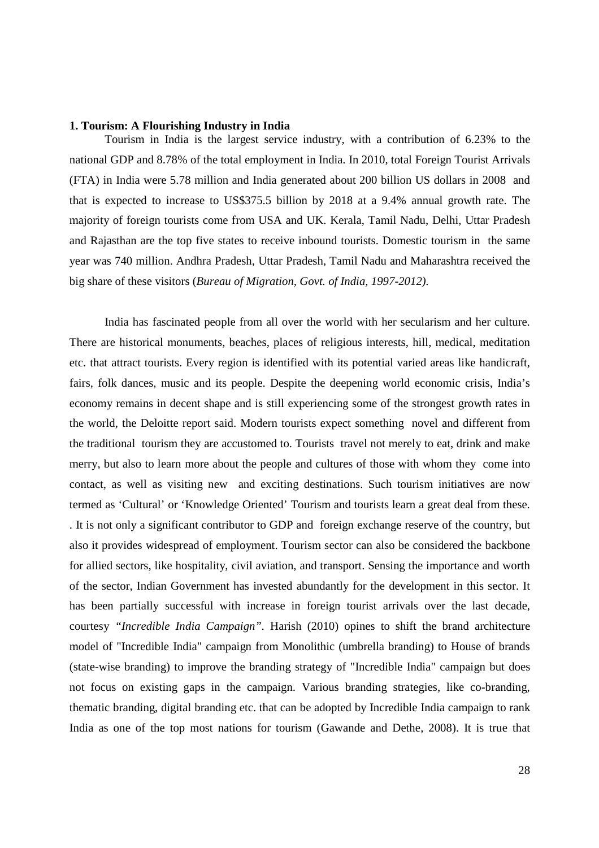## **1. Tourism: A Flourishing Industry in India**

Tourism in India is the largest service industry, with a contribution of 6.23% to the national GDP and 8.78% of the total employment in India. In 2010, total Foreign Tourist Arrivals (FTA) in India were 5.78 million and India generated about 200 billion US dollars in 2008 and that is expected to increase to US\$375.5 billion by 2018 at a 9.4% annual growth rate. The majority of foreign tourists come from USA and UK. Kerala, Tamil Nadu, Delhi, Uttar Pradesh and Rajasthan are the top five states to receive inbound tourists. Domestic tourism in the same year was 740 million. Andhra Pradesh, Uttar Pradesh, Tamil Nadu and Maharashtra received the big share of these visitors (*Bureau of Migration, Govt. of India, 1997-2012).*

India has fascinated people from all over the world with her secularism and her culture. There are historical monuments, beaches, places of religious interests, hill, medical, meditation etc. that attract tourists. Every region is identified with its potential varied areas like handicraft, fairs, folk dances, music and its people. Despite the deepening world economic crisis, India's economy remains in decent shape and is still experiencing some of the strongest growth rates in the world, the Deloitte report said. Modern tourists expect something novel and different from the traditional tourism they are accustomed to. Tourists travel not merely to eat, drink and make merry, but also to learn more about the people and cultures of those with whom they come into contact, as well as visiting new and exciting destinations. Such tourism initiatives are now termed as 'Cultural' or 'Knowledge Oriented' Tourism and tourists learn a great deal from these. . It is not only a significant contributor to GDP and foreign exchange reserve of the country, but also it provides widespread of employment. Tourism sector can also be considered the backbone for allied sectors, like hospitality, civil aviation, and transport. Sensing the importance and worth of the sector, Indian Government has invested abundantly for the development in this sector. It has been partially successful with increase in foreign tourist arrivals over the last decade, courtesy *"Incredible India Campaign".* Harish (2010) opines to shift the brand architecture model of "Incredible India" campaign from Monolithic (umbrella branding) to House of brands (state-wise branding) to improve the branding strategy of "Incredible India" campaign but does not focus on existing gaps in the campaign. Various branding strategies, like co-branding, thematic branding, digital branding etc. that can be adopted by Incredible India campaign to rank India as one of the top most nations for tourism (Gawande and Dethe, 2008). It is true that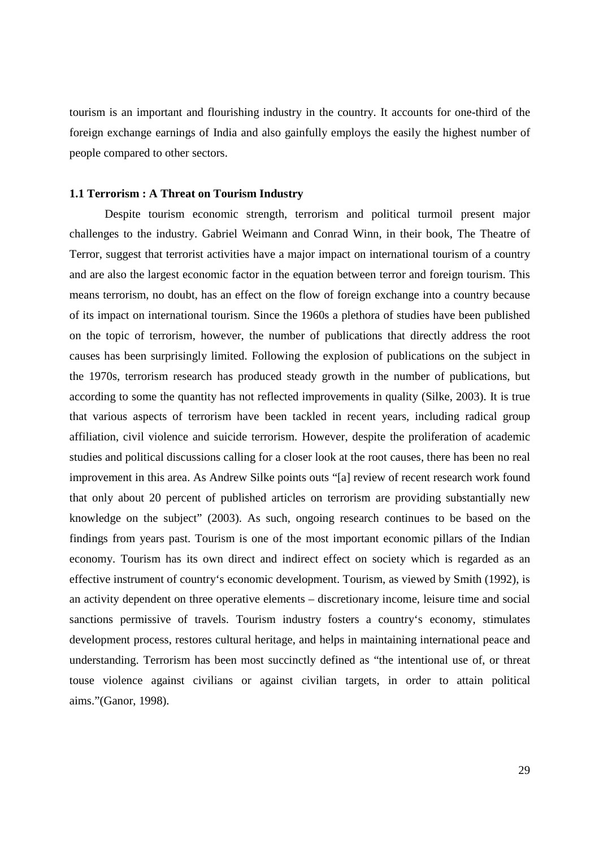tourism is an important and flourishing industry in the country. It accounts for one-third of the foreign exchange earnings of India and also gainfully employs the easily the highest number of people compared to other sectors.

#### **1.1 Terrorism : A Threat on Tourism Industry**

Despite tourism economic strength, terrorism and political turmoil present major challenges to the industry. Gabriel Weimann and Conrad Winn, in their book, The Theatre of Terror, suggest that terrorist activities have a major impact on international tourism of a country and are also the largest economic factor in the equation between terror and foreign tourism. This means terrorism, no doubt, has an effect on the flow of foreign exchange into a country because of its impact on international tourism. Since the 1960s a plethora of studies have been published on the topic of terrorism, however, the number of publications that directly address the root causes has been surprisingly limited. Following the explosion of publications on the subject in the 1970s, terrorism research has produced steady growth in the number of publications, but according to some the quantity has not reflected improvements in quality (Silke, 2003). It is true that various aspects of terrorism have been tackled in recent years, including radical group affiliation, civil violence and suicide terrorism. However, despite the proliferation of academic studies and political discussions calling for a closer look at the root causes, there has been no real improvement in this area. As Andrew Silke points outs "[a] review of recent research work found that only about 20 percent of published articles on terrorism are providing substantially new knowledge on the subject" (2003). As such, ongoing research continues to be based on the findings from years past. Tourism is one of the most important economic pillars of the Indian economy. Tourism has its own direct and indirect effect on society which is regarded as an effective instrument of country's economic development. Tourism, as viewed by Smith (1992), is an activity dependent on three operative elements – discretionary income, leisure time and social sanctions permissive of travels. Tourism industry fosters a country's economy, stimulates development process, restores cultural heritage, and helps in maintaining international peace and understanding. Terrorism has been most succinctly defined as "the intentional use of, or threat touse violence against civilians or against civilian targets, in order to attain political aims."(Ganor, 1998).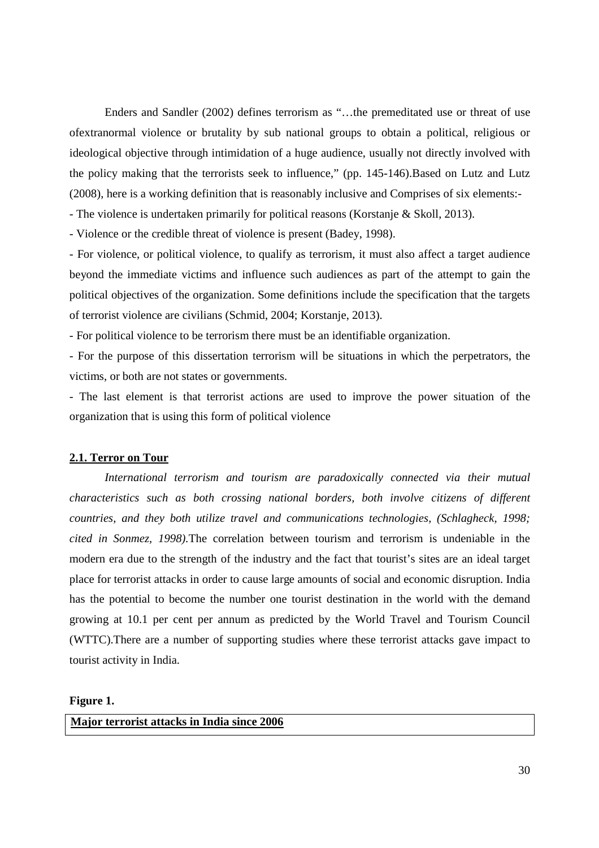Enders and Sandler (2002) defines terrorism as "…the premeditated use or threat of use ofextranormal violence or brutality by sub national groups to obtain a political, religious or ideological objective through intimidation of a huge audience, usually not directly involved with the policy making that the terrorists seek to influence," (pp. 145-146).Based on Lutz and Lutz (2008), here is a working definition that is reasonably inclusive and Comprises of six elements:-

- The violence is undertaken primarily for political reasons (Korstanje & Skoll, 2013).

- Violence or the credible threat of violence is present (Badey, 1998).

- For violence, or political violence, to qualify as terrorism, it must also affect a target audience beyond the immediate victims and influence such audiences as part of the attempt to gain the political objectives of the organization. Some definitions include the specification that the targets of terrorist violence are civilians (Schmid, 2004; Korstanje, 2013).

- For political violence to be terrorism there must be an identifiable organization.

- For the purpose of this dissertation terrorism will be situations in which the perpetrators, the victims, or both are not states or governments.

- The last element is that terrorist actions are used to improve the power situation of the organization that is using this form of political violence

## **2.1. Terror on Tour**

*International terrorism and tourism are paradoxically connected via their mutual characteristics such as both crossing national borders, both involve citizens of different countries, and they both utilize travel and communications technologies, (Schlagheck, 1998; cited in Sonmez, 1998).*The correlation between tourism and terrorism is undeniable in the modern era due to the strength of the industry and the fact that tourist's sites are an ideal target place for terrorist attacks in order to cause large amounts of social and economic disruption. India has the potential to become the number one tourist destination in the world with the demand growing at 10.1 per cent per annum as predicted by the World Travel and Tourism Council (WTTC).There are a number of supporting studies where these terrorist attacks gave impact to tourist activity in India.

#### **Figure 1.**

**Major terrorist attacks in India since 2006**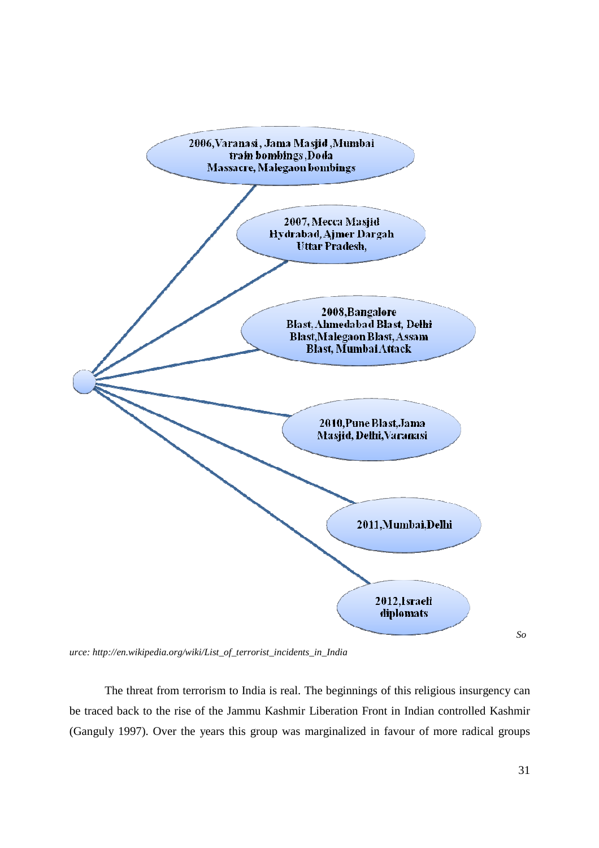

*urce: http://en.wikipedia.org/wiki/List\_of\_terrorist\_incidents\_in\_India* 

The threat from terrorism to India is real. The beginnings of this religious insurgency can be traced back to the rise of the Jammu Kashmir Liberation Front in Indian controlled Kashmir (Ganguly 1997). Over the years this group was marginalized in favour of more radical groups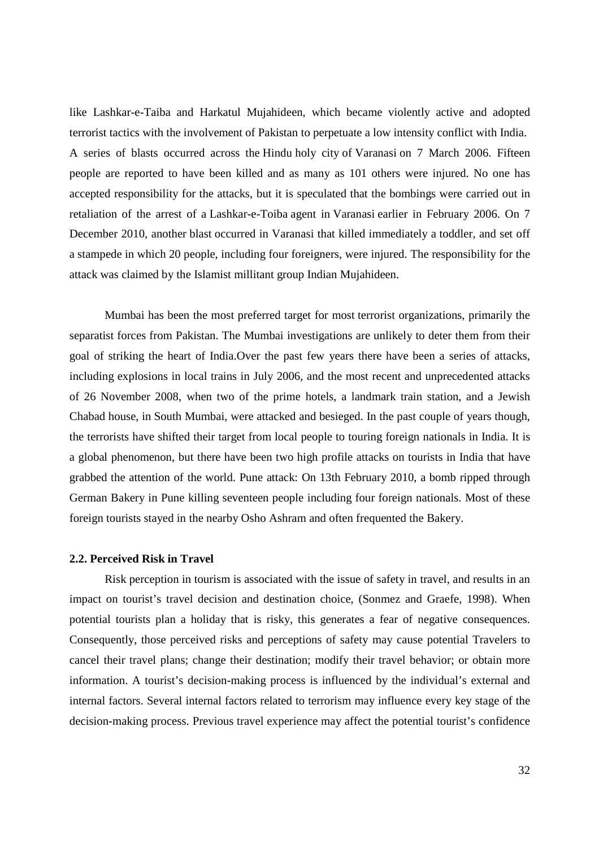like Lashkar-e-Taiba and Harkatul Mujahideen, which became violently active and adopted terrorist tactics with the involvement of Pakistan to perpetuate a low intensity conflict with India. A series of blasts occurred across the Hindu holy city of Varanasi on 7 March 2006. Fifteen people are reported to have been killed and as many as 101 others were injured. No one has accepted responsibility for the attacks, but it is speculated that the bombings were carried out in retaliation of the arrest of a Lashkar-e-Toiba agent in Varanasi earlier in February 2006. On 7 December 2010, another blast occurred in Varanasi that killed immediately a toddler, and set off a stampede in which 20 people, including four foreigners, were injured. The responsibility for the attack was claimed by the Islamist millitant group Indian Mujahideen.

Mumbai has been the most preferred target for most terrorist organizations, primarily the separatist forces from Pakistan. The Mumbai investigations are unlikely to deter them from their goal of striking the heart of India.Over the past few years there have been a series of attacks, including explosions in local trains in July 2006, and the most recent and unprecedented attacks of 26 November 2008, when two of the prime hotels, a landmark train station, and a Jewish Chabad house, in South Mumbai, were attacked and besieged. In the past couple of years though, the terrorists have shifted their target from local people to touring foreign nationals in India. It is a global phenomenon, but there have been two high profile attacks on tourists in India that have grabbed the attention of the world. Pune attack: On 13th February 2010, a bomb ripped through German Bakery in Pune killing seventeen people including four foreign nationals. Most of these foreign tourists stayed in the nearby Osho Ashram and often frequented the Bakery.

#### **2.2. Perceived Risk in Travel**

Risk perception in tourism is associated with the issue of safety in travel, and results in an impact on tourist's travel decision and destination choice, (Sonmez and Graefe, 1998). When potential tourists plan a holiday that is risky, this generates a fear of negative consequences. Consequently, those perceived risks and perceptions of safety may cause potential Travelers to cancel their travel plans; change their destination; modify their travel behavior; or obtain more information. A tourist's decision-making process is influenced by the individual's external and internal factors. Several internal factors related to terrorism may influence every key stage of the decision-making process. Previous travel experience may affect the potential tourist's confidence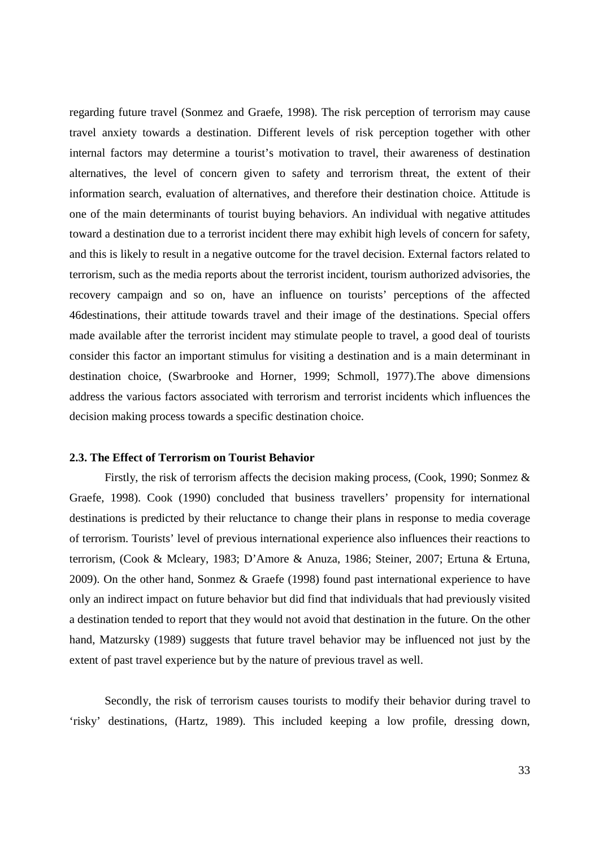regarding future travel (Sonmez and Graefe, 1998). The risk perception of terrorism may cause travel anxiety towards a destination. Different levels of risk perception together with other internal factors may determine a tourist's motivation to travel, their awareness of destination alternatives, the level of concern given to safety and terrorism threat, the extent of their information search, evaluation of alternatives, and therefore their destination choice. Attitude is one of the main determinants of tourist buying behaviors. An individual with negative attitudes toward a destination due to a terrorist incident there may exhibit high levels of concern for safety, and this is likely to result in a negative outcome for the travel decision. External factors related to terrorism, such as the media reports about the terrorist incident, tourism authorized advisories, the recovery campaign and so on, have an influence on tourists' perceptions of the affected 46destinations, their attitude towards travel and their image of the destinations. Special offers made available after the terrorist incident may stimulate people to travel, a good deal of tourists consider this factor an important stimulus for visiting a destination and is a main determinant in destination choice, (Swarbrooke and Horner, 1999; Schmoll, 1977).The above dimensions address the various factors associated with terrorism and terrorist incidents which influences the decision making process towards a specific destination choice.

## **2.3. The Effect of Terrorism on Tourist Behavior**

Firstly, the risk of terrorism affects the decision making process, (Cook, 1990; Sonmez & Graefe, 1998). Cook (1990) concluded that business travellers' propensity for international destinations is predicted by their reluctance to change their plans in response to media coverage of terrorism. Tourists' level of previous international experience also influences their reactions to terrorism, (Cook & Mcleary, 1983; D'Amore & Anuza, 1986; Steiner, 2007; Ertuna & Ertuna, 2009). On the other hand, Sonmez & Graefe (1998) found past international experience to have only an indirect impact on future behavior but did find that individuals that had previously visited a destination tended to report that they would not avoid that destination in the future. On the other hand, Matzursky (1989) suggests that future travel behavior may be influenced not just by the extent of past travel experience but by the nature of previous travel as well.

Secondly, the risk of terrorism causes tourists to modify their behavior during travel to 'risky' destinations, (Hartz, 1989). This included keeping a low profile, dressing down,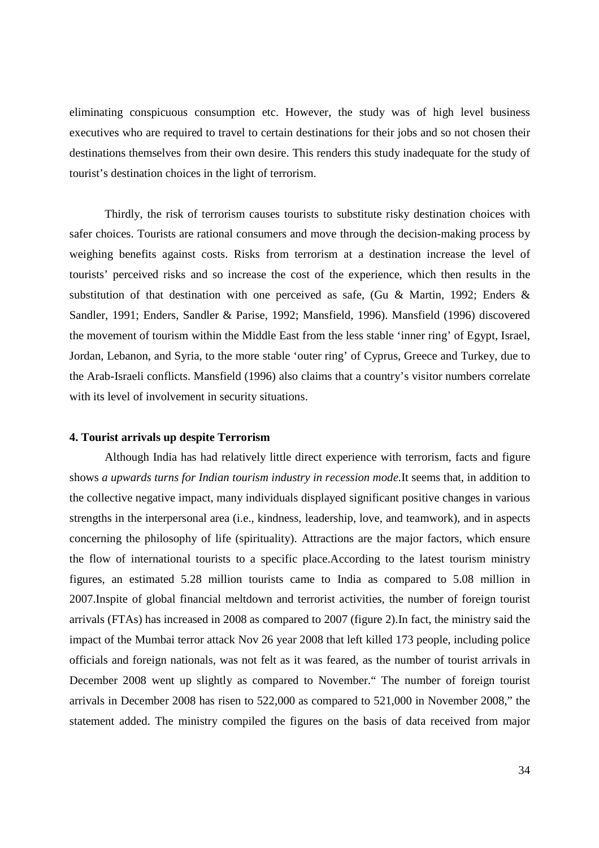eliminating conspicuous consumption etc. However, the study was of high level business executives who are required to travel to certain destinations for their jobs and so not chosen their destinations themselves from their own desire. This renders this study inadequate for the study of tourist's destination choices in the light of terrorism.

Thirdly, the risk of terrorism causes tourists to substitute risky destination choices with safer choices. Tourists are rational consumers and move through the decision-making process by weighing benefits against costs. Risks from terrorism at a destination increase the level of tourists' perceived risks and so increase the cost of the experience, which then results in the substitution of that destination with one perceived as safe, (Gu & Martin, 1992; Enders & Sandler, 1991; Enders, Sandler & Parise, 1992; Mansfield, 1996). Mansfield (1996) discovered the movement of tourism within the Middle East from the less stable 'inner ring' of Egypt, Israel, Jordan, Lebanon, and Syria, to the more stable 'outer ring' of Cyprus, Greece and Turkey, due to the Arab-Israeli conflicts. Mansfield (1996) also claims that a country's visitor numbers correlate with its level of involvement in security situations.

## **4. Tourist arrivals up despite Terrorism**

Although India has had relatively little direct experience with terrorism, facts and figure shows *a upwards turns for Indian tourism industry in recession mode.*It seems that, in addition to the collective negative impact, many individuals displayed significant positive changes in various strengths in the interpersonal area (i.e., kindness, leadership, love, and teamwork), and in aspects concerning the philosophy of life (spirituality). Attractions are the major factors, which ensure the flow of international tourists to a specific place.According to the latest tourism ministry figures, an estimated 5.28 million tourists came to India as compared to 5.08 million in 2007.Inspite of global financial meltdown and terrorist activities, the number of foreign tourist arrivals (FTAs) has increased in 2008 as compared to 2007 (figure 2).In fact, the ministry said the impact of the Mumbai terror attack Nov 26 year 2008 that left killed 173 people, including police officials and foreign nationals, was not felt as it was feared, as the number of tourist arrivals in December 2008 went up slightly as compared to November." The number of foreign tourist arrivals in December 2008 has risen to 522,000 as compared to 521,000 in November 2008," the statement added. The ministry compiled the figures on the basis of data received from major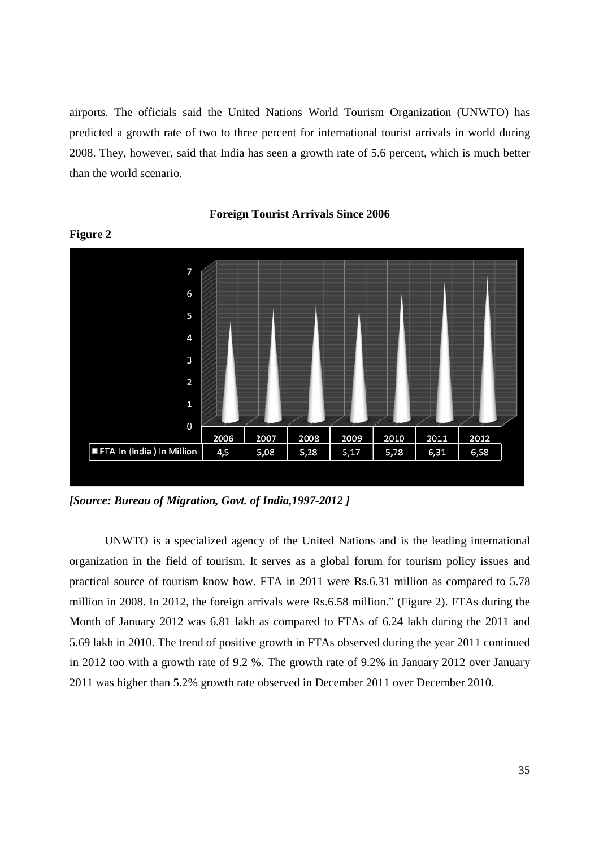airports. The officials said the United Nations World Tourism Organization (UNWTO) has predicted a growth rate of two to three percent for international tourist arrivals in world during 2008. They, however, said that India has seen a growth rate of 5.6 percent, which is much better than the world scenario.



**Foreign Tourist Arrivals Since 2006** 

*[Source: Bureau of Migration, Govt. of India,1997-2012 ]* 

**Figure 2** 

UNWTO is a specialized agency of the United Nations and is the leading international organization in the field of tourism. It serves as a global forum for tourism policy issues and practical source of tourism know how. FTA in 2011 were Rs.6.31 million as compared to 5.78 million in 2008. In 2012, the foreign arrivals were Rs.6.58 million." (Figure 2). FTAs during the Month of January 2012 was 6.81 lakh as compared to FTAs of 6.24 lakh during the 2011 and 5.69 lakh in 2010. The trend of positive growth in FTAs observed during the year 2011 continued in 2012 too with a growth rate of 9.2 %. The growth rate of 9.2% in January 2012 over January 2011 was higher than 5.2% growth rate observed in December 2011 over December 2010.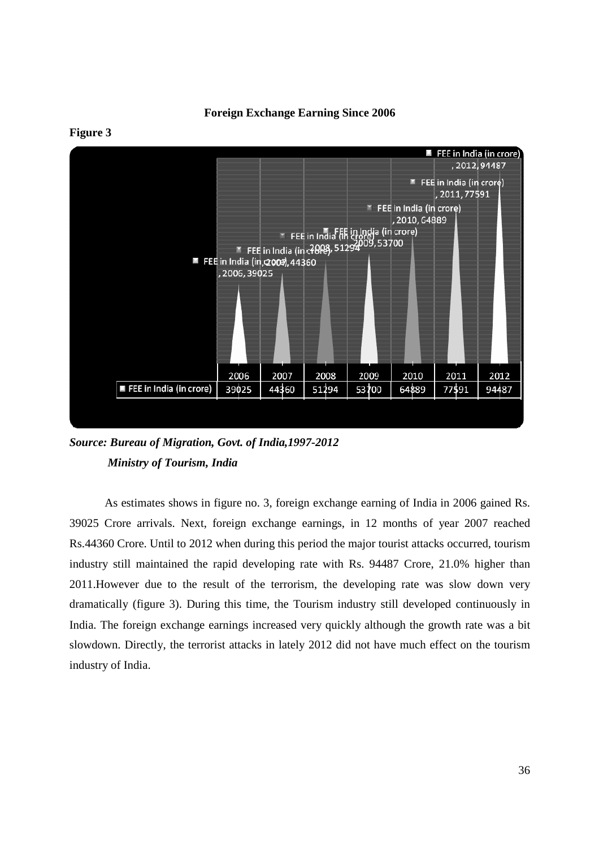**Foreign Exchange Earning Since 2006** 



**Figure 3** 

*Source: Bureau of Migration, Govt. of India,1997-2012 Ministry of Tourism, India* 

As estimates shows in figure no. 3, foreign exchange earning of India in 2006 gained Rs. 39025 Crore arrivals. Next, foreign exchange earnings, in 12 months of year 2007 reached Rs.44360 Crore. Until to 2012 when during this period the major tourist attacks occurred, tourism industry still maintained the rapid developing rate with Rs. 94487 Crore, 21.0% higher than 2011.However due to the result of the terrorism, the developing rate was slow down very dramatically (figure 3). During this time, the Tourism industry still developed continuously in India. The foreign exchange earnings increased very quickly although the growth rate was a bit slowdown. Directly, the terrorist attacks in lately 2012 did not have much effect on the tourism industry of India.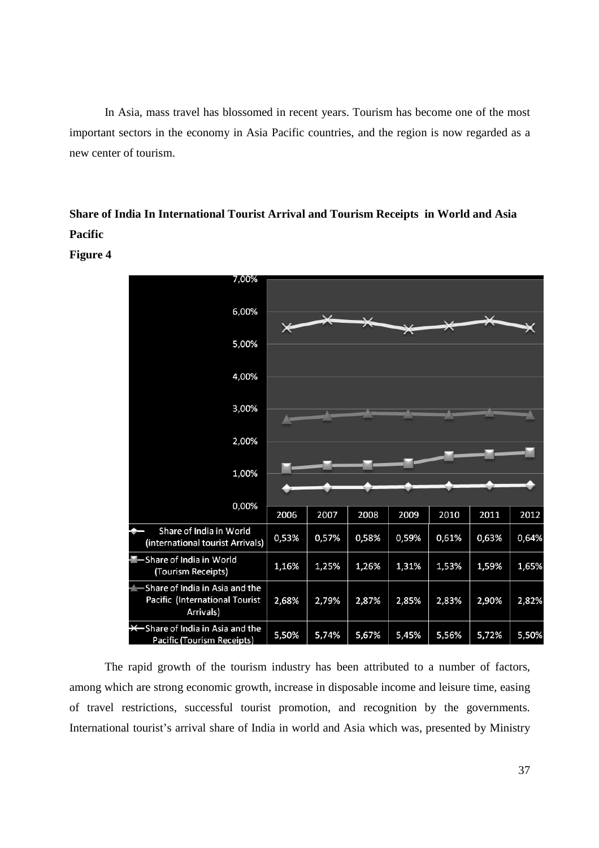In Asia, mass travel has blossomed in recent years. Tourism has become one of the most important sectors in the economy in Asia Pacific countries, and the region is now regarded as a new center of tourism.

# **Share of India In International Tourist Arrival and Tourism Receipts in World and Asia Pacific**



**Figure 4** 

The rapid growth of the tourism industry has been attributed to a number of factors, among which are strong economic growth, increase in disposable income and leisure time, easing of travel restrictions, successful tourist promotion, and recognition by the governments. International tourist's arrival share of India in world and Asia which was, presented by Ministry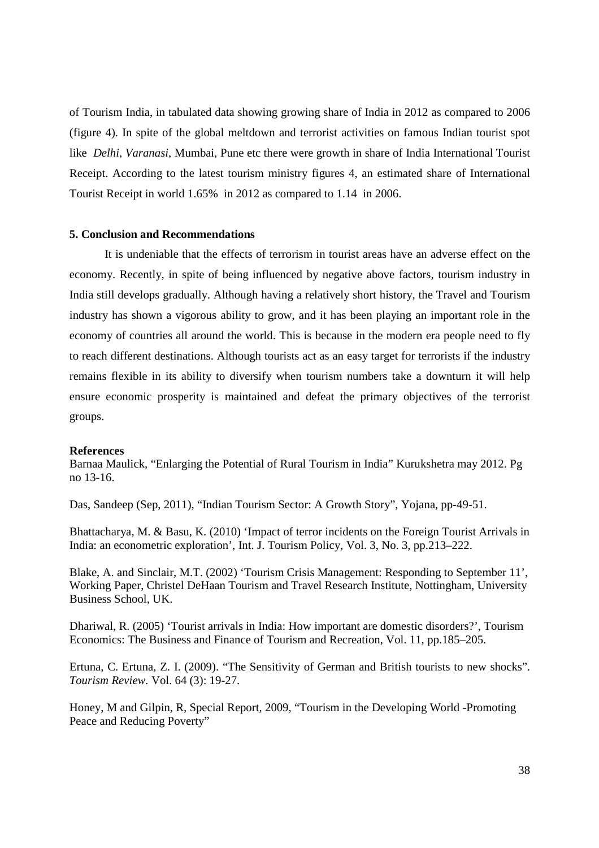of Tourism India, in tabulated data showing growing share of India in 2012 as compared to 2006 (figure 4). In spite of the global meltdown and terrorist activities on famous Indian tourist spot like *Delhi, Varanasi*, Mumbai, Pune etc there were growth in share of India International Tourist Receipt. According to the latest tourism ministry figures 4, an estimated share of International Tourist Receipt in world 1.65% in 2012 as compared to 1.14 in 2006.

## **5. Conclusion and Recommendations**

It is undeniable that the effects of terrorism in tourist areas have an adverse effect on the economy. Recently, in spite of being influenced by negative above factors, tourism industry in India still develops gradually. Although having a relatively short history, the Travel and Tourism industry has shown a vigorous ability to grow, and it has been playing an important role in the economy of countries all around the world. This is because in the modern era people need to fly to reach different destinations. Although tourists act as an easy target for terrorists if the industry remains flexible in its ability to diversify when tourism numbers take a downturn it will help ensure economic prosperity is maintained and defeat the primary objectives of the terrorist groups.

#### **References**

Barnaa Maulick, "Enlarging the Potential of Rural Tourism in India" Kurukshetra may 2012. Pg no 13-16.

Das, Sandeep (Sep, 2011), "Indian Tourism Sector: A Growth Story", Yojana, pp-49-51.

Bhattacharya, M. & Basu, K. (2010) 'Impact of terror incidents on the Foreign Tourist Arrivals in India: an econometric exploration', Int. J. Tourism Policy, Vol. 3, No. 3, pp.213–222.

Blake, A. and Sinclair, M.T. (2002) 'Tourism Crisis Management: Responding to September 11', Working Paper, Christel DeHaan Tourism and Travel Research Institute, Nottingham, University Business School, UK.

Dhariwal, R. (2005) 'Tourist arrivals in India: How important are domestic disorders?', Tourism Economics: The Business and Finance of Tourism and Recreation, Vol. 11, pp.185–205.

Ertuna, C. Ertuna, Z. I. (2009). "The Sensitivity of German and British tourists to new shocks". *Tourism Review.* Vol. 64 (3): 19-27.

Honey, M and Gilpin, R, Special Report, 2009, "Tourism in the Developing World -Promoting Peace and Reducing Poverty"